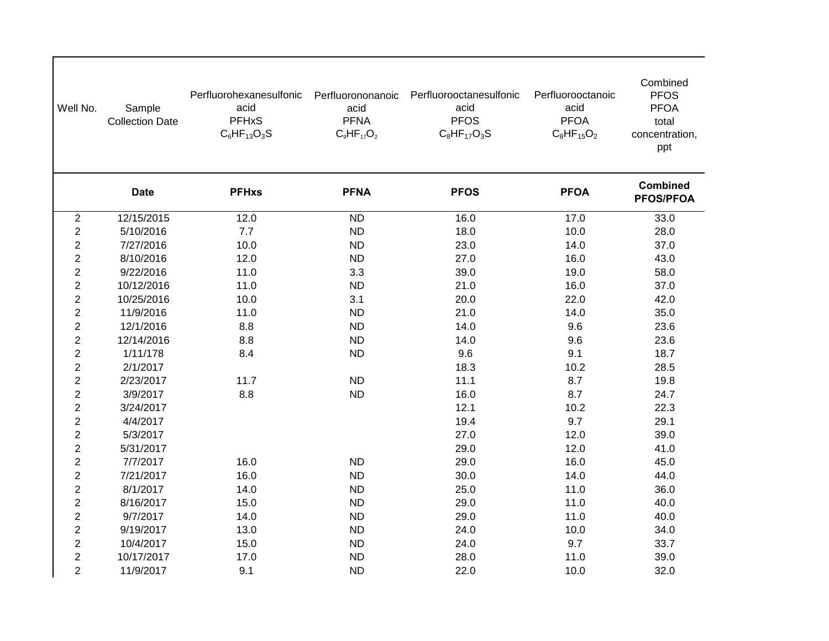| Well No.                | Sample<br><b>Collection Date</b> | Perfluorohexanesulfonic<br>acid<br><b>PFHxS</b><br>$C_6HF_{13}O_3S$ | Perfluorononanoic<br>acid<br><b>PFNA</b><br>$C_9HF_{17}O_2$ | Perfluorooctanesulfonic<br>acid<br><b>PFOS</b><br>$C_8$ HF <sub>17</sub> O <sub>3</sub> S | Perfluorooctanoic<br>acid<br><b>PFOA</b><br>$C_8HF_{15}O_2$ | Combined<br><b>PFOS</b><br><b>PFOA</b><br>total<br>concentration,<br>ppt |
|-------------------------|----------------------------------|---------------------------------------------------------------------|-------------------------------------------------------------|-------------------------------------------------------------------------------------------|-------------------------------------------------------------|--------------------------------------------------------------------------|
|                         | <b>Date</b>                      | <b>PFHxs</b>                                                        | <b>PFNA</b>                                                 | <b>PFOS</b>                                                                               | <b>PFOA</b>                                                 | <b>Combined</b><br><b>PFOS/PFOA</b>                                      |
| $\sqrt{2}$              | 12/15/2015                       | 12.0                                                                | <b>ND</b>                                                   | 16.0                                                                                      | 17.0                                                        | 33.0                                                                     |
| $\sqrt{2}$              | 5/10/2016                        | 7.7                                                                 | <b>ND</b>                                                   | 18.0                                                                                      | 10.0                                                        | 28.0                                                                     |
| $\overline{c}$          | 7/27/2016                        | 10.0                                                                | <b>ND</b>                                                   | 23.0                                                                                      | 14.0                                                        | 37.0                                                                     |
| $\boldsymbol{2}$        | 8/10/2016                        | 12.0                                                                | <b>ND</b>                                                   | 27.0                                                                                      | 16.0                                                        | 43.0                                                                     |
| $\boldsymbol{2}$        | 9/22/2016                        | 11.0                                                                | 3.3                                                         | 39.0                                                                                      | 19.0                                                        | 58.0                                                                     |
| $\boldsymbol{2}$        | 10/12/2016                       | 11.0                                                                | <b>ND</b>                                                   | 21.0                                                                                      | 16.0                                                        | 37.0                                                                     |
| $\overline{\mathbf{c}}$ | 10/25/2016                       | 10.0                                                                | 3.1                                                         | 20.0                                                                                      | 22.0                                                        | 42.0                                                                     |
| $\overline{c}$          | 11/9/2016                        | 11.0                                                                | <b>ND</b>                                                   | 21.0                                                                                      | 14.0                                                        | 35.0                                                                     |
| $\boldsymbol{2}$        | 12/1/2016                        | 8.8                                                                 | <b>ND</b>                                                   | 14.0                                                                                      | 9.6                                                         | 23.6                                                                     |
| $\overline{\mathbf{c}}$ | 12/14/2016                       | 8.8                                                                 | <b>ND</b>                                                   | 14.0                                                                                      | 9.6                                                         | 23.6                                                                     |
| $\overline{c}$          | 1/11/178                         | 8.4                                                                 | <b>ND</b>                                                   | 9.6                                                                                       | 9.1                                                         | 18.7                                                                     |
| $\overline{\mathbf{c}}$ | 2/1/2017                         |                                                                     |                                                             | 18.3                                                                                      | 10.2                                                        | 28.5                                                                     |
| $\overline{c}$          | 2/23/2017                        | 11.7                                                                | <b>ND</b>                                                   | 11.1                                                                                      | 8.7                                                         | 19.8                                                                     |
| $\boldsymbol{2}$        | 3/9/2017                         | 8.8                                                                 | <b>ND</b>                                                   | 16.0                                                                                      | 8.7                                                         | 24.7                                                                     |
| $\boldsymbol{2}$        | 3/24/2017                        |                                                                     |                                                             | 12.1                                                                                      | 10.2                                                        | 22.3                                                                     |
| $\mathbf{2}$            | 4/4/2017                         |                                                                     |                                                             | 19.4                                                                                      | 9.7                                                         | 29.1                                                                     |
| $\overline{c}$          | 5/3/2017                         |                                                                     |                                                             | 27.0                                                                                      | 12.0                                                        | 39.0                                                                     |
| $\overline{c}$          | 5/31/2017                        |                                                                     |                                                             | 29.0                                                                                      | 12.0                                                        | 41.0                                                                     |
| $\boldsymbol{2}$        | 7/7/2017                         | 16.0                                                                | <b>ND</b>                                                   | 29.0                                                                                      | 16.0                                                        | 45.0                                                                     |
| $\boldsymbol{2}$        | 7/21/2017                        | 16.0                                                                | <b>ND</b>                                                   | 30.0                                                                                      | 14.0                                                        | 44.0                                                                     |
| $\overline{2}$          | 8/1/2017                         | 14.0                                                                | <b>ND</b>                                                   | 25.0                                                                                      | 11.0                                                        | 36.0                                                                     |
| $\overline{c}$          | 8/16/2017                        | 15.0                                                                | <b>ND</b>                                                   | 29.0                                                                                      | 11.0                                                        | 40.0                                                                     |
| $\overline{c}$          | 9/7/2017                         | 14.0                                                                | <b>ND</b>                                                   | 29.0                                                                                      | 11.0                                                        | 40.0                                                                     |
| $\overline{c}$          | 9/19/2017                        | 13.0                                                                | <b>ND</b>                                                   | 24.0                                                                                      | 10.0                                                        | 34.0                                                                     |
| $\boldsymbol{2}$        | 10/4/2017                        | 15.0                                                                | <b>ND</b>                                                   | 24.0                                                                                      | 9.7                                                         | 33.7                                                                     |
| $\boldsymbol{2}$        | 10/17/2017                       | 17.0                                                                | <b>ND</b>                                                   | 28.0                                                                                      | 11.0                                                        | 39.0                                                                     |
| $\overline{2}$          | 11/9/2017                        | 9.1                                                                 | <b>ND</b>                                                   | 22.0                                                                                      | 10.0                                                        | 32.0                                                                     |